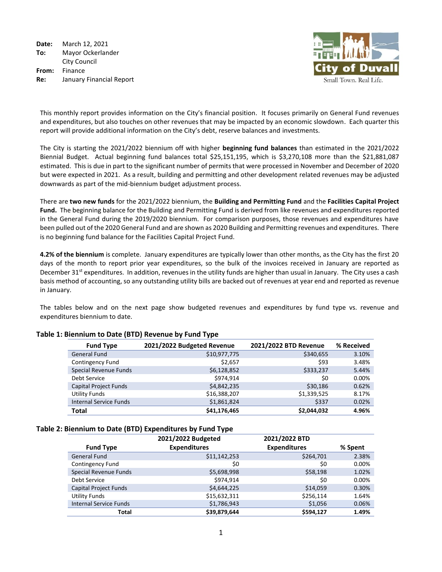**Date:** March 12, 2021 **To:** Mayor Ockerlander City Council **From:** Finance **Re:** January Financial Report



This monthly report provides information on the City's financial position. It focuses primarily on General Fund revenues and expenditures, but also touches on other revenues that may be impacted by an economic slowdown. Each quarter this report will provide additional information on the City's debt, reserve balances and investments.

The City is starting the 2021/2022 biennium off with higher **beginning fund balances** than estimated in the 2021/2022 Biennial Budget.Actual beginning fund balances total \$25,151,195, which is \$3,270,108 more than the \$21,881,087 estimated. This is due in part to the significant number of permits that were processed in November and December of 2020 but were expected in 2021. As a result, building and permitting and other development related revenues may be adjusted downwards as part of the mid-biennium budget adjustment process.

There are **two new funds** for the 2021/2022 biennium, the **Building and Permitting Fund** and the **Facilities Capital Project Fund.** The beginning balance for the Building and Permitting Fund is derived from like revenues and expenditures reported in the General Fund during the 2019/2020 biennium. For comparison purposes, those revenues and expenditures have been pulled out of the 2020 General Fund and are shown as 2020 Building and Permitting revenues and expenditures. There is no beginning fund balance for the Facilities Capital Project Fund.

**4.2% of the biennium** is complete. January expenditures are typically lower than other months, as the City has the first 20 days of the month to report prior year expenditures, so the bulk of the invoices received in January are reported as December  $31<sup>st</sup>$  expenditures. In addition, revenues in the utility funds are higher than usual in January. The City uses a cash basis method of accounting, so any outstanding utility bills are backed out of revenues at year end and reported as revenue in January.

The tables below and on the next page show budgeted revenues and expenditures by fund type vs. revenue and expenditures biennium to date.

|                               | . .<br>. .                 |                       |            |
|-------------------------------|----------------------------|-----------------------|------------|
| <b>Fund Type</b>              | 2021/2022 Budgeted Revenue | 2021/2022 BTD Revenue | % Received |
| <b>General Fund</b>           | \$10,977,775               | \$340,655             | 3.10%      |
| Contingency Fund              | \$2,657                    | \$93                  | 3.48%      |
| Special Revenue Funds         | \$6,128,852                | \$333,237             | 5.44%      |
| Debt Service                  | \$974.914                  | \$0                   | 0.00%      |
| <b>Capital Project Funds</b>  | \$4,842,235                | \$30,186              | 0.62%      |
| Utility Funds                 | \$16,388,207               | \$1,339,525           | 8.17%      |
| <b>Internal Service Funds</b> | \$1,861,824                | \$337                 | 0.02%      |
| <b>Total</b>                  | \$41,176,465               | \$2,044,032           | 4.96%      |

#### **Table 1: Biennium to Date (BTD) Revenue by Fund Type**

#### **Table 2: Biennium to Date (BTD) Expenditures by Fund Type**

|                               | 2021/2022 Budgeted  | 2021/2022 BTD       |         |
|-------------------------------|---------------------|---------------------|---------|
| <b>Fund Type</b>              | <b>Expenditures</b> | <b>Expenditures</b> | % Spent |
| <b>General Fund</b>           | \$11,142,253        | \$264,701           | 2.38%   |
| Contingency Fund              | \$0                 | \$0                 | 0.00%   |
| <b>Special Revenue Funds</b>  | \$5,698,998         | \$58,198            | 1.02%   |
| Debt Service                  | \$974,914           | \$0                 | 0.00%   |
| Capital Project Funds         | \$4,644,225         | \$14,059            | 0.30%   |
| <b>Utility Funds</b>          | \$15,632,311        | \$256,114           | 1.64%   |
| <b>Internal Service Funds</b> | \$1,786,943         | \$1,056             | 0.06%   |
| Total                         | \$39,879,644        | \$594,127           | 1.49%   |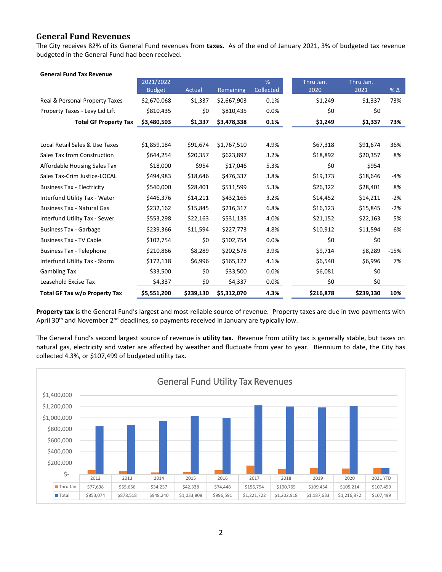## **General Fund Revenues**

The City receives 82% of its General Fund revenues from **taxes**. As of the end of January 2021, 3% of budgeted tax revenue budgeted in the General Fund had been received.

| <b>General Fund Tax Revenue</b>   |               |           |             |           |           |           |              |
|-----------------------------------|---------------|-----------|-------------|-----------|-----------|-----------|--------------|
|                                   | 2021/2022     |           |             | %         | Thru Jan. | Thru Jan. |              |
|                                   | <b>Budget</b> | Actual    | Remaining   | Collected | 2020      | 2021      | $%$ $\Delta$ |
| Real & Personal Property Taxes    | \$2,670,068   | \$1,337   | \$2,667,903 | 0.1%      | \$1,249   | \$1,337   | 73%          |
| Property Taxes - Levy Lid Lift    | \$810,435     | \$0       | \$810,435   | 0.0%      | \$0       | \$0       |              |
| <b>Total GF Property Tax</b>      | \$3,480,503   | \$1,337   | \$3,478,338 | 0.1%      | \$1,249   | \$1,337   | 73%          |
| Local Retail Sales & Use Taxes    | \$1,859,184   | \$91,674  | \$1,767,510 | 4.9%      | \$67,318  | \$91,674  | 36%          |
| Sales Tax from Construction       | \$644,254     | \$20,357  | \$623,897   | 3.2%      | \$18,892  | \$20,357  | 8%           |
| Affordable Housing Sales Tax      | \$18,000      | \$954     | \$17,046    | 5.3%      | \$0       | \$954     |              |
| Sales Tax-Crim Justice-LOCAL      | \$494,983     | \$18,646  | \$476,337   | 3.8%      | \$19,373  | \$18,646  | $-4%$        |
| <b>Business Tax - Electricity</b> | \$540,000     | \$28,401  | \$511,599   | 5.3%      | \$26,322  | \$28,401  | 8%           |
| Interfund Utility Tax - Water     | \$446,376     | \$14,211  | \$432,165   | 3.2%      | \$14,452  | \$14,211  | $-2%$        |
| <b>Business Tax - Natural Gas</b> | \$232,162     | \$15,845  | \$216,317   | 6.8%      | \$16,123  | \$15,845  | $-2%$        |
| Interfund Utility Tax - Sewer     | \$553,298     | \$22,163  | \$531,135   | 4.0%      | \$21,152  | \$22,163  | 5%           |
| <b>Business Tax - Garbage</b>     | \$239,366     | \$11,594  | \$227,773   | 4.8%      | \$10,912  | \$11,594  | 6%           |
| <b>Business Tax - TV Cable</b>    | \$102,754     | \$0       | \$102,754   | 0.0%      | \$0       | \$0       |              |
| <b>Business Tax - Telephone</b>   | \$210,866     | \$8,289   | \$202,578   | 3.9%      | \$9,714   | \$8,289   | $-15%$       |
| Interfund Utility Tax - Storm     | \$172,118     | \$6,996   | \$165,122   | 4.1%      | \$6,540   | \$6,996   | 7%           |
| <b>Gambling Tax</b>               | \$33,500      | \$0       | \$33,500    | 0.0%      | \$6,081   | \$0       |              |
| Leasehold Excise Tax              | \$4,337       | \$0       | \$4,337     | 0.0%      | \$0       | \$0       |              |
| Total GF Tax w/o Property Tax     | \$5,551,200   | \$239,130 | \$5,312,070 | 4.3%      | \$216,878 | \$239,130 | 10%          |

**Property tax** is the General Fund's largest and most reliable source of revenue. Property taxes are due in two payments with April 30<sup>th</sup> and November  $2<sup>nd</sup>$  deadlines, so payments received in January are typically low.

The General Fund's second largest source of revenue is **utility tax.** Revenue from utility tax is generally stable, but taxes on natural gas, electricity and water are affected by weather and fluctuate from year to year. Biennium to date, the City has collected 4.3%, or \$107,499 of budgeted utility tax**.** 

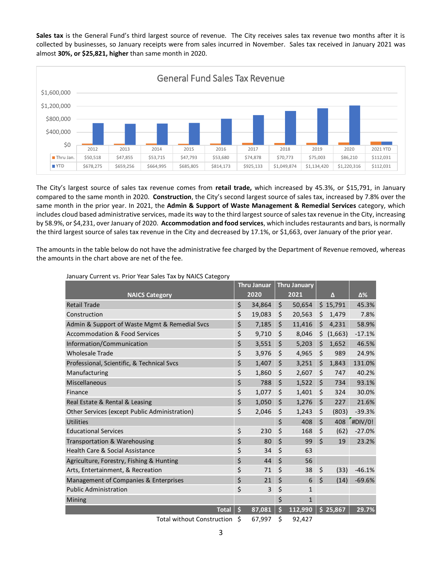**Sales tax** is the General Fund's third largest source of revenue. The City receives sales tax revenue two months after it is collected by businesses, so January receipts were from sales incurred in November. Sales tax received in January 2021 was almost **30%, or \$25,821, higher** than same month in 2020.



The City's largest source of sales tax revenue comes from **retail trade,** which increased by 45.3%, or \$15,791, in January compared to the same month in 2020. **Construction**, the City's second largest source of sales tax, increased by 7.8% over the same month in the prior year. In 2021, the **Admin & Support of Waste Management & Remedial Services** category, which includes cloud based administrative services, made its way to the third largest source of sales tax revenue in the City, increasing by 58.9%, or \$4,231, over January of 2020. **Accommodation and food services**, which includes restaurants and bars, is normally the third largest source of sales tax revenue in the City and decreased by 17.1%, or \$1,663, over January of the prior year.

The amounts in the table below do not have the administrative fee charged by the Department of Revenue removed, whereas the amounts in the chart above are net of the fee.

| January Current vs. Prior Year Sales Tax by NAICS Category |                    |                    |                     |         |                      |          |
|------------------------------------------------------------|--------------------|--------------------|---------------------|---------|----------------------|----------|
|                                                            |                    | <b>Thru Januar</b> | <b>Thru January</b> |         |                      |          |
| <b>NAICS Category</b>                                      |                    | 2020               | 2021                |         | Δ                    | Δ%       |
| <b>Retail Trade</b>                                        | \$                 | 34,864             | \$<br>50,654        |         | \$15,791             | 45.3%    |
| Construction                                               | \$                 | 19,083             | \$<br>20,563        | \$      | 1,479                | 7.8%     |
| Admin & Support of Waste Mgmt & Remedial Svcs              | \$                 | 7,185              | \$<br>11,416        | \$      | 4,231                | 58.9%    |
| <b>Accommodation &amp; Food Services</b>                   | \$                 | 9,710              | \$<br>8,046         | \$      | (1,663)              | $-17.1%$ |
| Information/Communication                                  | \$                 | 3,551              | \$<br>5,203         | \$      | 1,652                | 46.5%    |
| <b>Wholesale Trade</b>                                     | \$                 | 3,976              | \$<br>4,965         | \$      | 989                  | 24.9%    |
| Professional, Scientific, & Technical Svcs                 | \$                 | 1,407              | \$<br>3,251         | \$      | 1,843                | 131.0%   |
| Manufacturing                                              | \$                 | 1,860              | \$<br>2,607         | \$      | 747                  | 40.2%    |
| Miscellaneous                                              | \$                 | 788                | \$<br>1,522         | $\zeta$ | 734                  | 93.1%    |
| Finance                                                    | \$                 | 1,077              | \$<br>1,401         | \$      | 324                  | 30.0%    |
| Real Estate & Rental & Leasing                             | \$                 | 1,050              | \$<br>1,276         | $\zeta$ | 227                  | 21.6%    |
| Other Services (except Public Administration)              | \$                 | 2,046              | \$<br>1,243         | \$      | (803)                | $-39.3%$ |
| <b>Utilities</b>                                           |                    |                    | \$<br>408           | \$      | 408                  | #DIV/0!  |
| <b>Educational Services</b>                                | \$                 | 230                | \$<br>168           | \$      | (62)                 | $-27.0%$ |
| Transportation & Warehousing                               | \$                 | 80                 | \$<br>99            | \$      | 19                   | 23.2%    |
| <b>Health Care &amp; Social Assistance</b>                 | \$                 | 34                 | \$<br>63            |         |                      |          |
| Agriculture, Forestry, Fishing & Hunting                   | \$                 | 44                 | \$<br>56            |         |                      |          |
| Arts, Entertainment, & Recreation                          | \$                 | 71                 | \$<br>38            | $\zeta$ | (33)                 | $-46.1%$ |
| Management of Companies & Enterprises                      | \$                 | 21                 | \$<br>6             | \$      | (14)                 | $-69.6%$ |
| <b>Public Administration</b>                               | \$                 | 3                  | \$<br>$\mathbf{1}$  |         |                      |          |
| Mining                                                     |                    |                    | \$<br>$\mathbf{1}$  |         |                      |          |
| <b>Total</b>                                               | $\mathsf{\hat{S}}$ | 87,081             | \$<br>112,990       |         | $5\overline{25,867}$ | 29.7%    |
| <b>Total without Construction</b>                          | Ś                  | 67,997             | \$<br>92,427        |         |                      |          |

#### January Current vs. Prior Year Sales Tax by NAICS Category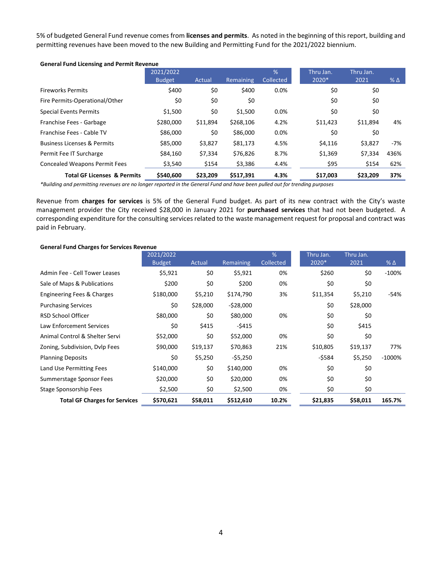5% of budgeted General Fund revenue comes from **licenses and permits**. As noted in the beginning of this report, building and permitting revenues have been moved to the new Building and Permitting Fund for the 2021/2022 biennium.

| <b>General Fund Licensing and Permit Revenue</b> |
|--------------------------------------------------|
|--------------------------------------------------|

|                                        | 2021/2022<br><b>Budget</b> | Actual   | <b>Remaining</b> | %<br>Collected | Thru Jan.<br>2020* | Thru Jan.<br>2021 | $%$ $\Delta$ |
|----------------------------------------|----------------------------|----------|------------------|----------------|--------------------|-------------------|--------------|
| <b>Fireworks Permits</b>               | \$400                      | \$0      | \$400            | 0.0%           | \$0                | \$0               |              |
| Fire Permits-Operational/Other         | \$0                        | \$0      | \$0              |                | \$0                | \$0               |              |
| <b>Special Events Permits</b>          | \$1,500                    | \$0      | \$1,500          | 0.0%           | \$0                | \$0               |              |
| Franchise Fees - Garbage               | \$280,000                  | \$11,894 | \$268,106        | 4.2%           | \$11,423           | \$11,894          | 4%           |
| Franchise Fees - Cable TV              | \$86,000                   | \$0      | \$86,000         | $0.0\%$        | \$0                | \$0               |              |
| <b>Business Licenses &amp; Permits</b> | \$85,000                   | \$3,827  | \$81,173         | 4.5%           | \$4,116            | \$3,827           | $-7%$        |
| Permit Fee IT Surcharge                | \$84,160                   | \$7,334  | \$76,826         | 8.7%           | \$1,369            | \$7,334           | 436%         |
| <b>Concealed Weapons Permit Fees</b>   | \$3,540                    | \$154    | \$3,386          | 4.4%           | \$95               | \$154             | 62%          |
| <b>Total GF Licenses &amp; Permits</b> | \$540,600                  | \$23.209 | \$517,391        | 4.3%           | \$17,003           | \$23,209          | 37%          |

*\*Building and permitting revenues are no longer reported in the General Fund and have been pulled out for trending purposes*

Revenue from **charges for services** is 5% of the General Fund budget. As part of its new contract with the City's waste management provider the City received \$28,000 in January 2021 for **purchased services** that had not been budgeted. A corresponding expenditure for the consulting services related to the waste management request for proposal and contract was paid in February.

#### **General Fund Charges for Services Revenue**

|                                      | 2021/2022     |          |             | $\sqrt{2}$ | Thru Jan. | Thru Jan. |                 |
|--------------------------------------|---------------|----------|-------------|------------|-----------|-----------|-----------------|
|                                      | <b>Budget</b> | Actual   | Remaining   | Collected  | 2020*     | 2021      | $%$ $\triangle$ |
| Admin Fee - Cell Tower Leases        | \$5,921       | \$0      | \$5,921     | 0%         | \$260     | \$0       | $-100%$         |
| Sale of Maps & Publications          | \$200         | \$0      | \$200       | 0%         | \$0       | \$0       |                 |
| Engineering Fees & Charges           | \$180,000     | \$5,210  | \$174,790   | 3%         | \$11,354  | \$5,210   | $-54%$          |
| <b>Purchasing Services</b>           | \$0           | \$28,000 | $-528,000$  |            | \$0       | \$28,000  |                 |
| RSD School Officer                   | \$80,000      | \$0      | \$80,000    | 0%         | \$0       | \$0       |                 |
| <b>Law Enforcement Services</b>      | \$0           | \$415    | -\$415      |            | \$0       | \$415     |                 |
| Animal Control & Shelter Servi       | \$52,000      | \$0      | \$52,000    | 0%         | \$0       | \$0       |                 |
| Zoning, Subdivision, Dvlp Fees       | \$90,000      | \$19,137 | \$70,863    | 21%        | \$10,805  | \$19,137  | 77%             |
| <b>Planning Deposits</b>             | \$0           | \$5,250  | $-$ \$5,250 |            | -\$584    | \$5,250   | $-1000%$        |
| Land Use Permitting Fees             | \$140,000     | \$0      | \$140,000   | 0%         | \$0       | \$0       |                 |
| Summerstage Sponsor Fees             | \$20,000      | \$0      | \$20,000    | 0%         | \$0       | \$0       |                 |
| Stage Sponsorship Fees               | \$2,500       | \$0      | \$2,500     | 0%         | \$0       | \$0       |                 |
| <b>Total GF Charges for Services</b> | \$570,621     | \$58,011 | \$512,610   | 10.2%      | \$21,835  | \$58,011  | 165.7%          |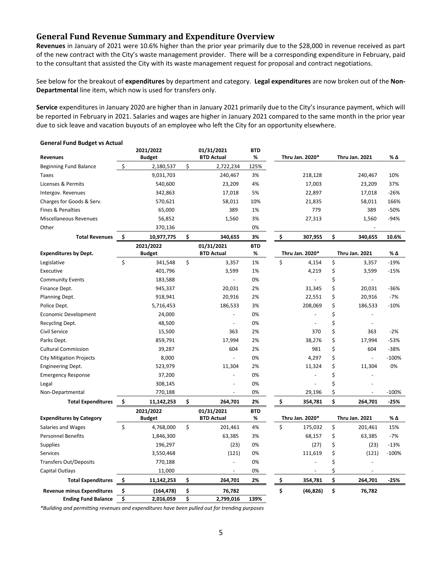## **General Fund Revenue Summary and Expenditure Overview**

**Revenues** in January of 2021 were 10.6% higher than the prior year primarily due to the \$28,000 in revenue received as part of the new contract with the City's waste management provider. There will be a corresponding expenditure in February, paid to the consultant that assisted the City with its waste management request for proposal and contract negotiations.

See below for the breakout of **expenditures** by department and category. **Legal expenditures** are now broken out of the **Non-Departmental** line item, which now is used for transfers only.

**Service** expenditures in January 2020 are higher than in January 2021 primarily due to the City's insurance payment, which will be reported in February in 2021. Salaries and wages are higher in January 2021 compared to the same month in the prior year due to sick leave and vacation buyouts of an employee who left the City for an opportunity elsewhere.

| <b>Revenues</b>                   | 2021/2022<br><b>Budget</b> | 01/31/2021<br><b>BTD Actual</b> | <b>BTD</b><br>% | Thru Jan. 2020* | <b>Thru Jan. 2021</b> | % Δ     |
|-----------------------------------|----------------------------|---------------------------------|-----------------|-----------------|-----------------------|---------|
| Beginning Fund Balance            | \$<br>2,180,537            | \$<br>2,722,234                 | 125%            |                 |                       |         |
| <b>Taxes</b>                      | 9,031,703                  | 240,467                         | 3%              | 218,128         | 240,467               | 10%     |
| Licenses & Permits                | 540,600                    | 23,209                          | 4%              | 17,003          | 23,209                | 37%     |
| Intergov. Revenues                | 342,863                    | 17,018                          | 5%              | 22,897          | 17,018                | $-26%$  |
| Charges for Goods & Serv.         | 570,621                    | 58,011                          | 10%             | 21,835          | 58,011                | 166%    |
| Fines & Penalties                 | 65,000                     | 389                             | 1%              | 779             | 389                   | $-50%$  |
| <b>Miscellaneous Revenues</b>     | 56,852                     | 1,560                           | 3%              | 27,313          | 1,560                 | $-94%$  |
| Other                             | 370,136                    |                                 | 0%              |                 |                       |         |
| <b>Total Revenues</b>             | \$<br>10,977,775           | \$<br>340,655                   | 3%              | \$<br>307,955   | \$<br>340,655         | 10.6%   |
|                                   | 2021/2022                  | 01/31/2021                      | <b>BTD</b>      |                 |                       |         |
| <b>Expenditures by Dept.</b>      | <b>Budget</b>              | <b>BTD Actual</b>               | %               | Thru Jan. 2020* | <b>Thru Jan. 2021</b> | % Δ     |
| Legislative                       | \$<br>341,548              | \$<br>3,357                     | 1%              | \$<br>4,154     | \$<br>3,357           | $-19%$  |
| Executive                         | 401,796                    | 3,599                           | 1%              | 4,219           | \$<br>3,599           | $-15%$  |
| <b>Community Events</b>           | 183,588                    | $\overline{a}$                  | 0%              |                 | \$<br>$\overline{a}$  |         |
| Finance Dept.                     | 945,337                    | 20,031                          | 2%              | 31,345          | \$<br>20,031          | $-36%$  |
| Planning Dept.                    | 918,941                    | 20,916                          | 2%              | 22,551          | \$<br>20,916          | $-7%$   |
| Police Dept.                      | 5,716,453                  | 186,533                         | 3%              | 208,069         | \$<br>186,533         | $-10%$  |
| Economic Development              | 24,000                     |                                 | 0%              |                 | \$                    |         |
| Recycling Dept.                   | 48,500                     |                                 | 0%              |                 | \$                    |         |
| Civil Service                     | 15,500                     | 363                             | 2%              | 370             | \$<br>363             | $-2%$   |
| Parks Dept.                       | 859,791                    | 17,994                          | 2%              | 38,276          | \$<br>17,994          | $-53%$  |
| <b>Cultural Commission</b>        | 39,287                     | 604                             | 2%              | 981             | \$<br>604             | $-38%$  |
| <b>City Mitigation Projects</b>   | 8,000                      | $\overline{a}$                  | 0%              | 4,297           | \$                    | $-100%$ |
| <b>Engineering Dept.</b>          | 523,979                    | 11,304                          | 2%              | 11,324          | \$<br>11,304          | 0%      |
| <b>Emergency Response</b>         | 37,200                     | $\overline{a}$                  | 0%              |                 | \$                    |         |
| Legal                             | 308,145                    |                                 | 0%              | $\overline{a}$  | \$                    |         |
| Non-Departmental                  | 770,188                    |                                 | 0%              | 29,196          | \$                    | $-100%$ |
| <b>Total Expenditures</b>         | \$<br>11,142,253           | \$<br>264,701                   | 2%              | \$<br>354,781   | \$<br>264,701         | $-25%$  |
|                                   | 2021/2022                  | 01/31/2021                      | <b>BTD</b>      |                 |                       |         |
| <b>Expenditures by Category</b>   | <b>Budget</b>              | <b>BTD Actual</b>               | %               | Thru Jan. 2020* | <b>Thru Jan. 2021</b> | %Δ      |
| Salaries and Wages                | \$<br>4,768,000            | \$<br>201,461                   | 4%              | \$<br>175,032   | \$<br>201,461         | 15%     |
| <b>Personnel Benefits</b>         | 1,846,300                  | 63,385                          | 3%              | 68,157          | \$<br>63,385          | $-7%$   |
| <b>Supplies</b>                   | 196,297                    | (23)                            | 0%              | (27)            | \$<br>(23)            | $-13%$  |
| Services                          | 3,550,468                  | (121)                           | 0%              | 111,619         | \$<br>(121)           | $-100%$ |
| <b>Transfers Out/Deposits</b>     | 770,188                    | $\overline{\phantom{a}}$        | 0%              | $\overline{a}$  | \$                    |         |
| Capital Outlays                   | 11,000                     |                                 | 0%              |                 | \$                    |         |
| <b>Total Expenditures</b>         | \$<br>11,142,253           | \$<br>264,701                   | 2%              | \$<br>354,781   | \$<br>264,701         | $-25%$  |
| <b>Revenue minus Expenditures</b> | \$<br>(164, 478)           | \$<br>76,782                    |                 | \$<br>(46, 826) | \$<br>76,782          |         |
| <b>Ending Fund Balance</b>        | \$<br>2,016,059            | \$<br>2,799,016                 | 139%            |                 |                       |         |

#### **General Fund Budget vs Actual**

*\*Building and permitting revenues and expenditures have been pulled out for trending purposes*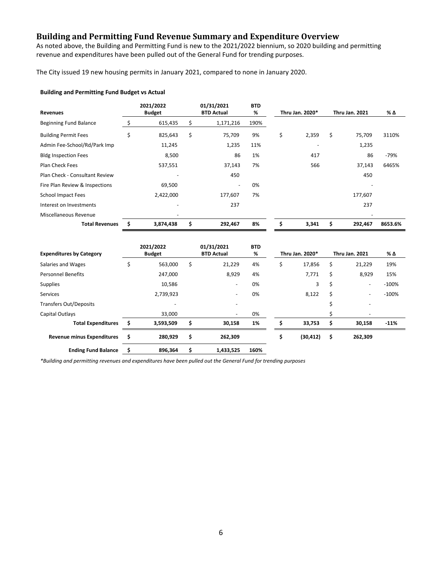## **Building and Permitting Fund Revenue Summary and Expenditure Overview**

As noted above, the Building and Permitting Fund is new to the 2021/2022 biennium, so 2020 building and permitting revenue and expenditures have been pulled out of the General Fund for trending purposes.

The City issued 19 new housing permits in January 2021, compared to none in January 2020.

#### **Building and Permitting Fund Budget vs Actual**

| <b>Revenues</b>                | 2021/2022<br><b>Budget</b> |    | 01/31/2021<br><b>BTD Actual</b> | <b>BTD</b><br>% | Thru Jan. 2020* | <b>Thru Jan. 2021</b> | % Δ     |
|--------------------------------|----------------------------|----|---------------------------------|-----------------|-----------------|-----------------------|---------|
| <b>Beginning Fund Balance</b>  | 615,435                    | s  | 1,171,216                       | 190%            |                 |                       |         |
| <b>Building Permit Fees</b>    | \$<br>825,643              | \$ | 75,709                          | 9%              | \$<br>2,359     | \$<br>75,709          | 3110%   |
| Admin Fee-School/Rd/Park Imp   | 11,245                     |    | 1,235                           | 11%             |                 | 1,235                 |         |
| <b>Bldg Inspection Fees</b>    | 8,500                      |    | 86                              | 1%              | 417             | 86                    | -79%    |
| Plan Check Fees                | 537,551                    |    | 37,143                          | 7%              | 566             | 37,143                | 6465%   |
| Plan Check - Consultant Review |                            |    | 450                             |                 |                 | 450                   |         |
| Fire Plan Review & Inspections | 69,500                     |    | $\overline{\phantom{0}}$        | 0%              |                 |                       |         |
| <b>School Impact Fees</b>      | 2,422,000                  |    | 177,607                         | 7%              |                 | 177,607               |         |
| Interest on Investments        |                            |    | 237                             |                 |                 | 237                   |         |
| Miscellaneous Revenue          |                            |    |                                 |                 |                 |                       |         |
| <b>Total Revenues</b>          | \$<br>3,874,438            | \$ | 292,467                         | 8%              | \$<br>3,341     | \$<br>292,467         | 8653.6% |

| <b>Expenditures by Category</b>   |    | 2021/2022<br><b>Budget</b> | 01/31/2021<br><b>BTD Actual</b> | <b>BTD</b><br>% |    | Thru Jan. 2020* | <b>Thru Jan. 2021</b>          | % Δ     |
|-----------------------------------|----|----------------------------|---------------------------------|-----------------|----|-----------------|--------------------------------|---------|
| Salaries and Wages                | \$ | 563,000                    | \$<br>21,229                    | 4%              | \$ | 17,856          | \$<br>21,229                   | 19%     |
| <b>Personnel Benefits</b>         |    | 247,000                    | 8,929                           | 4%              |    | 7,771           | \$<br>8,929                    | 15%     |
| <b>Supplies</b>                   |    | 10,586                     | $\overline{\phantom{0}}$        | 0%              |    | 3               | \$<br>$\overline{\phantom{0}}$ | $-100%$ |
| Services                          |    | 2,739,923                  | $\overline{\phantom{a}}$        | 0%              |    | 8,122           | \$<br>$\overline{\phantom{a}}$ | $-100%$ |
| <b>Transfers Out/Deposits</b>     |    |                            | $\overline{\phantom{a}}$        |                 |    |                 | \$<br>$\overline{\phantom{a}}$ |         |
| Capital Outlays                   |    | 33.000                     | $\overline{\phantom{a}}$        | 0%              |    |                 | $\overline{\phantom{a}}$       |         |
| <b>Total Expenditures</b>         | Ŝ. | 3,593,509                  | \$<br>30,158                    | 1%              | s  | 33,753          | \$<br>30,158                   | $-11%$  |
| <b>Revenue minus Expenditures</b> | \$ | 280,929                    | \$<br>262,309                   |                 | \$ | (30, 412)       | \$<br>262,309                  |         |
| <b>Ending Fund Balance</b>        | \$ | 896.364                    | \$<br>1,433,525                 | 160%            |    |                 |                                |         |

*\*Building and permitting revenues and expenditures have been pulled out the General Fund for trending purposes*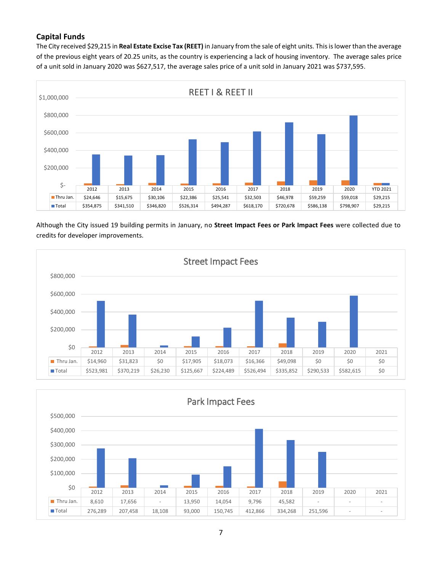## **Capital Funds**

The City received \$29,215 in **Real Estate Excise Tax (REET)** in January from the sale of eight units. This is lower than the average of the previous eight years of 20.25 units, as the country is experiencing a lack of housing inventory. The average sales price of a unit sold in January 2020 was \$627,517, the average sales price of a unit sold in January 2021 was \$737,595.



Although the City issued 19 building permits in January, no **Street Impact Fees or Park Impact Fees** were collected due to credits for developer improvements.



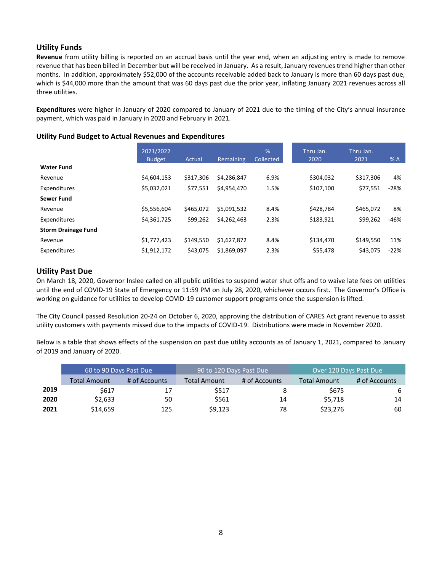## **Utility Funds**

**Revenue** from utility billing is reported on an accrual basis until the year end, when an adjusting entry is made to remove revenue that has been billed in December but will be received in January. As a result, January revenues trend higher than other months. In addition, approximately \$52,000 of the accounts receivable added back to January is more than 60 days past due, which is \$44,000 more than the amount that was 60 days past due the prior year, inflating January 2021 revenues across all three utilities.

**Expenditures** were higher in January of 2020 compared to January of 2021 due to the timing of the City's annual insurance payment, which was paid in January in 2020 and February in 2021.

#### **Utility Fund Budget to Actual Revenues and Expenditures**

|                            | 2021/2022<br><b>Budget</b> | Actual    | <b>Remaining</b> | %<br>Collected | Thru Jan.<br>2020 | Thru Jan.<br>2021 | $%$ $\Delta$ |
|----------------------------|----------------------------|-----------|------------------|----------------|-------------------|-------------------|--------------|
| <b>Water Fund</b>          |                            |           |                  |                |                   |                   |              |
| Revenue                    | \$4,604,153                | \$317,306 | \$4,286,847      | 6.9%           | \$304,032         | \$317,306         | 4%           |
| Expenditures               | \$5,032,021                | \$77,551  | \$4,954,470      | 1.5%           | \$107,100         | \$77,551          | $-28%$       |
| <b>Sewer Fund</b>          |                            |           |                  |                |                   |                   |              |
| Revenue                    | \$5,556,604                | \$465.072 | \$5.091.532      | 8.4%           | \$428,784         | \$465,072         | 8%           |
| Expenditures               | \$4,361,725                | \$99,262  | \$4,262,463      | 2.3%           | \$183,921         | \$99,262          | $-46%$       |
| <b>Storm Drainage Fund</b> |                            |           |                  |                |                   |                   |              |
| Revenue                    | \$1,777,423                | \$149,550 | \$1,627,872      | 8.4%           | \$134,470         | \$149,550         | 11%          |
| Expenditures               | \$1,912,172                | \$43,075  | \$1,869,097      | 2.3%           | \$55,478          | \$43,075          | $-22%$       |

## **Utility Past Due**

On March 18, 2020, Governor Inslee called on all public utilities to suspend water shut offs and to waive late fees on utilities until the end of COVID-19 State of Emergency or 11:59 PM on July 28, 2020, whichever occurs first. The Governor's Office is working on guidance for utilities to develop COVID-19 customer support programs once the suspension is lifted.

The City Council passed Resolution 20-24 on October 6, 2020, approving the distribution of CARES Act grant revenue to assist utility customers with payments missed due to the impacts of COVID-19. Distributions were made in November 2020.

Below is a table that shows effects of the suspension on past due utility accounts as of January 1, 2021, compared to January of 2019 and January of 2020.

|      | 60 to 90 Days Past Due |               | 90 to 120 Days Past Due |               | Over 120 Days Past Due |               |  |
|------|------------------------|---------------|-------------------------|---------------|------------------------|---------------|--|
|      | <b>Total Amount</b>    | # of Accounts | <b>Total Amount</b>     | # of Accounts | <b>Total Amount</b>    | # of Accounts |  |
| 2019 | \$617                  | 17            | \$517                   |               | \$675                  | 6             |  |
| 2020 | \$2.633                | 50            | \$561                   | 14            | \$5,718                | 14            |  |
| 2021 | \$14,659               | 125           | \$9,123                 | 78            | \$23,276               | 60            |  |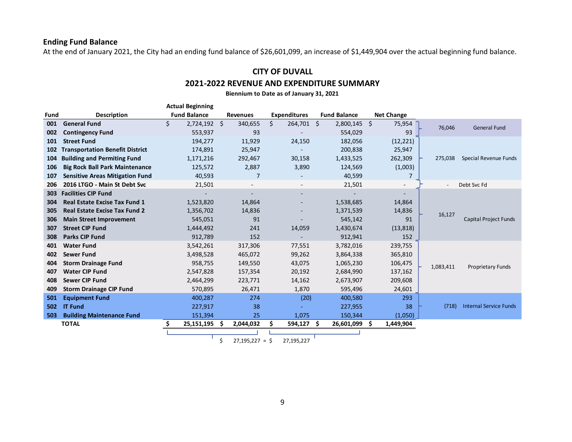## **Ending Fund Balance**

At the end of January 2021, the City had an ending fund balance of \$26,601,099, an increase of \$1,449,904 over the actual beginning fund balance.

# **CITY OF DUVALL 2021-2022 REVENUE AND EXPENDITURE SUMMARY**

### **Biennium to Date as of January 31, 2021**

|      |                                        | <b>Actual Beginning</b> |                          |                     |                     |                   |             |                               |
|------|----------------------------------------|-------------------------|--------------------------|---------------------|---------------------|-------------------|-------------|-------------------------------|
| Fund | <b>Description</b>                     | <b>Fund Balance</b>     | <b>Revenues</b>          | <b>Expenditures</b> | <b>Fund Balance</b> | <b>Net Change</b> |             |                               |
| 001  | <b>General Fund</b>                    | \$<br>$2,724,192$ \$    | 340,655                  | Ś.<br>264,701       | Ŝ.<br>2,800,145     | \$<br>75,954      | 76,046      | <b>General Fund</b>           |
| 002  | <b>Contingency Fund</b>                | 553,937                 | 93                       |                     | 554,029             | 93                |             |                               |
| 101  | <b>Street Fund</b>                     | 194,277                 | 11,929                   | 24,150              | 182,056             | (12, 221)         |             |                               |
| 102  | <b>Transportation Benefit District</b> | 174,891                 | 25,947                   |                     | 200,838             | 25,947            |             |                               |
| 104  | <b>Building and Permiting Fund</b>     | 1,171,216               | 292,467                  | 30,158              | 1,433,525           | 262,309           | 275,038     | Special Revenue Funds         |
| 106  | <b>Big Rock Ball Park Maintenance</b>  | 125,572                 | 2,887                    | 3,890               | 124,569             | (1,003)           |             |                               |
| 107  | <b>Sensitive Areas Mitigation Fund</b> | 40,593                  | 7                        |                     | 40,599              |                   |             |                               |
| 206  | 2016 LTGO - Main St Debt Svc           | 21,501                  | $\overline{\phantom{a}}$ |                     | 21,501              |                   | Debt Svc Fd |                               |
| 303  | <b>Facilities CIP Fund</b>             |                         |                          |                     |                     |                   |             |                               |
| 304  | <b>Real Estate Excise Tax Fund 1</b>   | 1,523,820               | 14,864                   |                     | 1,538,685           | 14,864            |             |                               |
| 305  | <b>Real Estate Excise Tax Fund 2</b>   | 1,356,702               | 14,836                   |                     | 1,371,539           | 14,836            | 16,127      |                               |
| 306  | <b>Main Street Improvement</b>         | 545,051                 | 91                       |                     | 545,142             | 91                |             | <b>Capital Project Funds</b>  |
| 307  | <b>Street CIP Fund</b>                 | 1,444,492               | 241                      | 14,059              | 1,430,674           | (13, 818)         |             |                               |
| 308  | <b>Parks CIP Fund</b>                  | 912,789                 | 152                      |                     | 912,941             | 152               |             |                               |
| 401  | <b>Water Fund</b>                      | 3,542,261               | 317,306                  | 77,551              | 3,782,016           | 239,755           |             |                               |
| 402  | <b>Sewer Fund</b>                      | 3,498,528               | 465,072                  | 99,262              | 3,864,338           | 365,810           |             |                               |
| 404  | <b>Storm Drainage Fund</b>             | 958,755                 | 149,550                  | 43,075              | 1,065,230           | 106,475           | 1,083,411   | <b>Proprietary Funds</b>      |
| 407  | <b>Water CIP Fund</b>                  | 2,547,828               | 157,354                  | 20,192              | 2,684,990           | 137,162           |             |                               |
| 408  | <b>Sewer CIP Fund</b>                  | 2,464,299               | 223,771                  | 14,162              | 2,673,907           | 209,608           |             |                               |
| 409  | <b>Storm Drainage CIP Fund</b>         | 570,895                 | 26,471                   | 1,870               | 595,496             | 24,601            |             |                               |
| 501  | <b>Equipment Fund</b>                  | 400,287                 | 274                      | (20)                | 400,580             | 293               |             |                               |
| 502  | <b>IT Fund</b>                         | 227,917                 | 38                       |                     | 227,955             | 38                | (718)       | <b>Internal Service Funds</b> |
| 503  | <b>Building Maintenance Fund</b>       | 151,394                 | 25                       | 1,075               | 150,344             | (1,050)           |             |                               |
|      | <b>TOTAL</b>                           | 25,151,195              | 2,044,032<br>S           | S<br>594,127        | S<br>26,601,099     | \$.<br>1,449,904  |             |                               |
|      |                                        |                         |                          |                     |                     |                   |             |                               |

 $$ 27,195,227 = $ 27,195,227$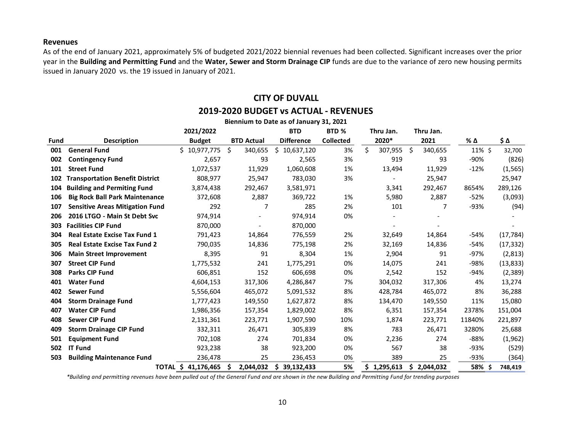#### **Revenues**

As of the end of January 2021, approximately 5% of budgeted 2021/2022 biennial revenues had been collected. Significant increases over the prior year in the **Building and Permitting Fund** and the **Water, Sewer and Storm Drainage CIP** funds are due to the variance of zero new housing permits issued in January 2020 vs. the 19 issued in January of 2021.

# **CITY OF DUVALL 2019-2020 BUDGET vs ACTUAL - REVENUES**

| Biennium to Date as of January 31, 2021 |                                        |                     |     |                   |                   |                  |    |             |         |           |        |           |
|-----------------------------------------|----------------------------------------|---------------------|-----|-------------------|-------------------|------------------|----|-------------|---------|-----------|--------|-----------|
|                                         |                                        | 2021/2022           |     |                   | <b>BTD</b>        | BTD <sub>%</sub> |    | Thru Jan.   |         | Thru Jan. |        |           |
| <b>Fund</b>                             | <b>Description</b>                     | <b>Budget</b>       |     | <b>BTD Actual</b> | <b>Difference</b> | <b>Collected</b> |    | 2020*       |         | 2021      | % Δ    | \$Δ       |
| 001                                     | <b>General Fund</b>                    | \$10,977,775        | \$  | 340,655           | 10,637,120<br>Ś.  | 3%               | \$ | 307,955     | $\zeta$ | 340,655   | 11% \$ | 32,700    |
| 002                                     | <b>Contingency Fund</b>                | 2,657               |     | 93                | 2,565             | 3%               |    | 919         |         | 93        | $-90%$ | (826)     |
| 101                                     | <b>Street Fund</b>                     | 1,072,537           |     | 11,929            | 1,060,608         | 1%               |    | 13,494      |         | 11,929    | $-12%$ | (1, 565)  |
| 102                                     | <b>Transportation Benefit District</b> | 808,977             |     | 25,947            | 783,030           | 3%               |    |             |         | 25,947    |        | 25,947    |
| 104                                     | <b>Building and Permiting Fund</b>     | 3,874,438           |     | 292,467           | 3,581,971         |                  |    | 3,341       |         | 292,467   | 8654%  | 289,126   |
| 106                                     | <b>Big Rock Ball Park Maintenance</b>  | 372,608             |     | 2,887             | 369,722           | 1%               |    | 5,980       |         | 2,887     | $-52%$ | (3,093)   |
| 107                                     | <b>Sensitive Areas Mitigation Fund</b> | 292                 |     | 7                 | 285               | 2%               |    | 101         |         | 7         | -93%   | (94)      |
| 206                                     | 2016 LTGO - Main St Debt Svc           | 974,914             |     |                   | 974,914           | 0%               |    |             |         |           |        |           |
| 303                                     | <b>Facilities CIP Fund</b>             | 870,000             |     |                   | 870,000           |                  |    |             |         |           |        |           |
| 304                                     | <b>Real Estate Excise Tax Fund 1</b>   | 791,423             |     | 14,864            | 776,559           | 2%               |    | 32,649      |         | 14,864    | $-54%$ | (17, 784) |
| 305                                     | <b>Real Estate Excise Tax Fund 2</b>   | 790,035             |     | 14,836            | 775,198           | 2%               |    | 32,169      |         | 14,836    | $-54%$ | (17, 332) |
| 306                                     | <b>Main Street Improvement</b>         | 8,395               |     | 91                | 8,304             | 1%               |    | 2,904       |         | 91        | $-97%$ | (2, 813)  |
| 307                                     | <b>Street CIP Fund</b>                 | 1,775,532           |     | 241               | 1,775,291         | 0%               |    | 14,075      |         | 241       | -98%   | (13, 833) |
| 308                                     | <b>Parks CIP Fund</b>                  | 606,851             |     | 152               | 606,698           | 0%               |    | 2,542       |         | 152       | $-94%$ | (2, 389)  |
| 401                                     | <b>Water Fund</b>                      | 4,604,153           |     | 317,306           | 4,286,847         | 7%               |    | 304,032     |         | 317,306   | 4%     | 13,274    |
| 402                                     | <b>Sewer Fund</b>                      | 5,556,604           |     | 465,072           | 5,091,532         | 8%               |    | 428,784     |         | 465,072   | 8%     | 36,288    |
| 404                                     | <b>Storm Drainage Fund</b>             | 1,777,423           |     | 149,550           | 1,627,872         | 8%               |    | 134,470     |         | 149,550   | 11%    | 15,080    |
| 407                                     | <b>Water CIP Fund</b>                  | 1,986,356           |     | 157,354           | 1,829,002         | 8%               |    | 6,351       |         | 157,354   | 2378%  | 151,004   |
| 408                                     | <b>Sewer CIP Fund</b>                  | 2,131,361           |     | 223,771           | 1,907,590         | 10%              |    | 1,874       |         | 223,771   | 11840% | 221,897   |
| 409                                     | <b>Storm Drainage CIP Fund</b>         | 332,311             |     | 26,471            | 305,839           | 8%               |    | 783         |         | 26,471    | 3280%  | 25,688    |
| 501                                     | <b>Equipment Fund</b>                  | 702,108             |     | 274               | 701,834           | 0%               |    | 2,236       |         | 274       | -88%   | (1, 962)  |
| 502                                     | <b>IT Fund</b>                         | 923,238             |     | 38                | 923,200           | 0%               |    | 567         |         | 38        | -93%   | (529)     |
| 503                                     | <b>Building Maintenance Fund</b>       | 236,478             |     | 25                | 236,453           | 0%               |    | 389         |         | 25        | $-93%$ | (364)     |
|                                         |                                        | TOTAL \$ 41,176,465 | \$. | 2,044,032         | 39,132,433<br>S   | 5%               |    | \$1,295,613 | S.      | 2,044,032 | 58% \$ | 748,419   |

*\*Building and permitting revenues have been pulled out of the General Fund and are shown in the new Building and Permitting Fund for trending purposes*